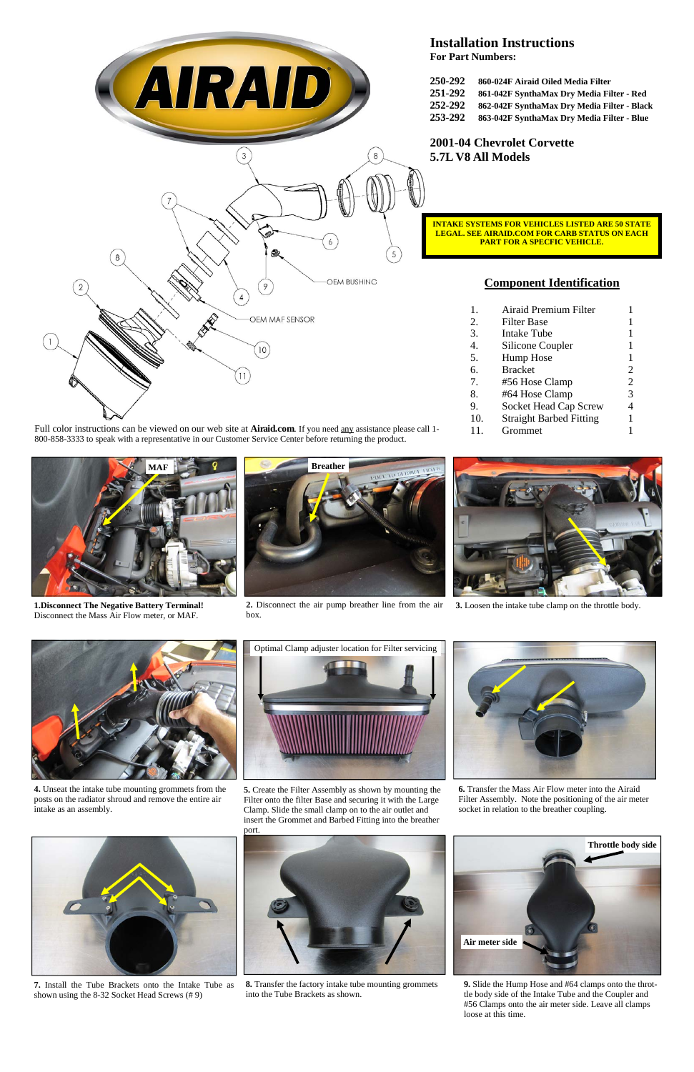

**3.** Loosen the intake tube clamp on the throttle body.

**4.** Unseat the intake tube mounting grommets from the posts on the radiator shroud and remove the entire air intake as an assembly.

**6.** Transfer the Mass Air Flow meter into the Airaid Filter Assembly. Note the positioning of the air meter socket in relation to the breather coupling.



**7.** Install the Tube Brackets onto the Intake Tube as shown using the 8-32 Socket Head Screws (# 9)



**2.** Disconnect the air pump breather line from the air box.



**8.** Transfer the factory intake tube mounting grommets into the Tube Brackets as shown.

## **Component Identification**

- 1. Airaid Premium Filter 1
- 2. Filter Base 1
- 3. Intake Tube 1
- 4. Silicone Coupler 1
- 5. Hump Hose 1
- 6. Bracket 2
- 7. #56 Hose Clamp 2
- 8. #64 Hose Clamp 3
- 9. Socket Head Cap Screw 4
- 10. Straight Barbed Fitting 1
- 11. Grommet 1



**9.** Slide the Hump Hose and #64 clamps onto the throttle body side of the Intake Tube and the Coupler and #56 Clamps onto the air meter side. Leave all clamps loose at this time.

Full color instructions can be viewed on our web site at **Airaid.com**. If you need any assistance please call 1- 800-858-3333 to speak with a representative in our Customer Service Center before returning the product.



**1.Disconnect The Negative Battery Terminal!** Disconnect the Mass Air Flow meter, or MAF.



**Installation Instructions** 

**For Part Numbers:** 

| 250-292 | 860-024F Airaid Oiled Media Filter          |
|---------|---------------------------------------------|
| 251-292 | 861-042F SynthaMax Dry Media Filter - Red   |
| 252-292 | 862-042F SynthaMax Dry Media Filter - Black |
| 253-292 | 863-042F SynthaMax Dry Media Filter - Blue  |

## **2001-04 Chevrolet Corvette 5.7L V8 All Models**

**5.** Create the Filter Assembly as shown by mounting the Filter onto the filter Base and securing it with the Large Clamp. Slide the small clamp on to the air outlet and insert the Grommet and Barbed Fitting into the breather

port.



Optimal Clamp adjuster location for Filter servicing





**INTAKE SYSTEMS FOR VEHICLES LISTED ARE 50 STATE LEGAL. SEE AIRAID.COM FOR CARB STATUS ON EACH PART FOR A SPECFIC VEHICLE.**